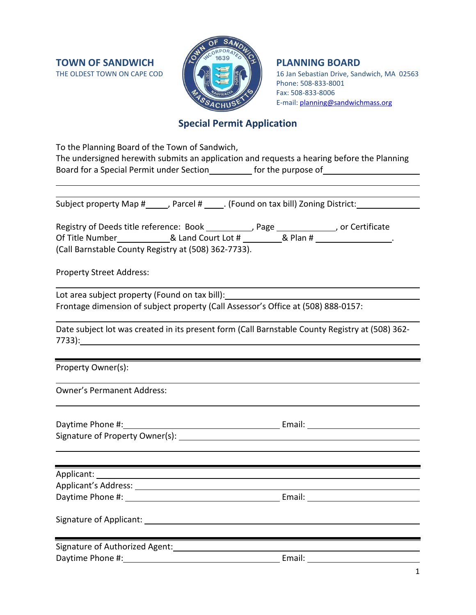

16 Jan Sebastian Drive, Sandwich, MA 02563 Phone: 508-833-8001 Fax: 508-833-8006 E-mail: [planning@sandwichmass.org](mailto:planning@sandwichmass.org)

# **Special Permit Application**

| To the Planning Board of the Town of Sandwich,                                                                                                                                                                                      |                                                                                                 |  |  |  |  |
|-------------------------------------------------------------------------------------------------------------------------------------------------------------------------------------------------------------------------------------|-------------------------------------------------------------------------------------------------|--|--|--|--|
| The undersigned herewith submits an application and requests a hearing before the Planning                                                                                                                                          |                                                                                                 |  |  |  |  |
| Board for a Special Permit under Section_____________ for the purpose of____________________________                                                                                                                                |                                                                                                 |  |  |  |  |
|                                                                                                                                                                                                                                     |                                                                                                 |  |  |  |  |
|                                                                                                                                                                                                                                     |                                                                                                 |  |  |  |  |
|                                                                                                                                                                                                                                     | Subject property Map #_____, Parcel # _____. (Found on tax bill) Zoning District: _________     |  |  |  |  |
|                                                                                                                                                                                                                                     | Registry of Deeds title reference: Book _________, Page __________, or Certificate              |  |  |  |  |
|                                                                                                                                                                                                                                     | Of Title Number_______________& Land Court Lot # __________& Plan # _________________.          |  |  |  |  |
| (Call Barnstable County Registry at (508) 362-7733).                                                                                                                                                                                |                                                                                                 |  |  |  |  |
| <b>Property Street Address:</b>                                                                                                                                                                                                     |                                                                                                 |  |  |  |  |
|                                                                                                                                                                                                                                     | Lot area subject property (Found on tax bill): _________________________________                |  |  |  |  |
| Frontage dimension of subject property (Call Assessor's Office at (508) 888-0157:                                                                                                                                                   |                                                                                                 |  |  |  |  |
|                                                                                                                                                                                                                                     | Date subject lot was created in its present form (Call Barnstable County Registry at (508) 362- |  |  |  |  |
| Property Owner(s):                                                                                                                                                                                                                  |                                                                                                 |  |  |  |  |
| <b>Owner's Permanent Address:</b>                                                                                                                                                                                                   |                                                                                                 |  |  |  |  |
| Daytime Phone #: 1992                                                                                                                                                                                                               |                                                                                                 |  |  |  |  |
|                                                                                                                                                                                                                                     |                                                                                                 |  |  |  |  |
|                                                                                                                                                                                                                                     |                                                                                                 |  |  |  |  |
| Applicant: <u>Applicant</u> Applicant Applicant Applicant Applicant Applicant Applicant Applicant Applicant Applicant Applicant Applicant Applicant Applicant Applicant Applicant Applicant Applicant Applicant Applicant Applicant |                                                                                                 |  |  |  |  |
| <b>Applicant's Address:</b>                                                                                                                                                                                                         |                                                                                                 |  |  |  |  |
|                                                                                                                                                                                                                                     |                                                                                                 |  |  |  |  |
|                                                                                                                                                                                                                                     |                                                                                                 |  |  |  |  |
|                                                                                                                                                                                                                                     |                                                                                                 |  |  |  |  |
|                                                                                                                                                                                                                                     | Email: <u>Alexander Alexander Alexander</u>                                                     |  |  |  |  |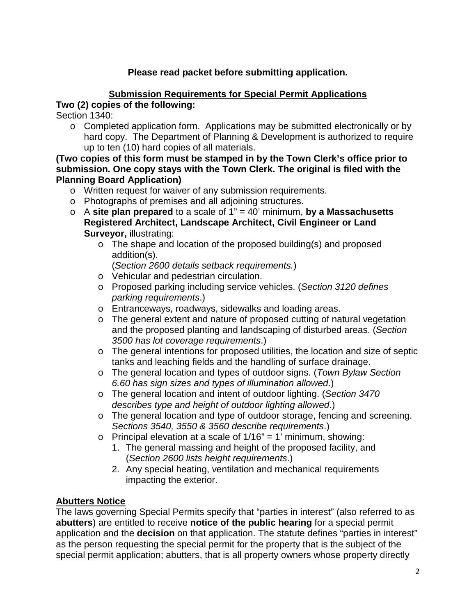# **Please read packet before submitting application.**

# **Submission Requirements for Special Permit Applications**

## **Two (2) copies of the following:**

Section 1340:

 $\circ$  Completed application form. Applications may be submitted electronically or by hard copy. The Department of Planning & Development is authorized to require up to ten (10) hard copies of all materials.

#### **(Two copies of this form must be stamped in by the Town Clerk's office prior to submission. One copy stays with the Town Clerk. The original is filed with the Planning Board Application)**

- o Written request for waiver of any submission requirements.
- o Photographs of premises and all adjoining structures.
- o A **site plan prepared** to a scale of 1" = 40' minimum, **by a Massachusetts Registered Architect, Landscape Architect, Civil Engineer or Land Surveyor,** illustrating:
	- o The shape and location of the proposed building(s) and proposed addition(s).

(*Section 2600 details setback requirements.*)

- o Vehicular and pedestrian circulation.
- o Proposed parking including service vehicles. (*Section 3120 defines parking requirements*.)
- o Entranceways, roadways, sidewalks and loading areas.
- o The general extent and nature of proposed cutting of natural vegetation and the proposed planting and landscaping of disturbed areas. (*Section 3500 has lot coverage requirements*.)
- o The general intentions for proposed utilities, the location and size of septic tanks and leaching fields and the handling of surface drainage.
- o The general location and types of outdoor signs. (*Town Bylaw Section 6.60 has sign sizes and types of illumination allowed*.)
- o The general location and intent of outdoor lighting. (*Section 3470 describes type and height of outdoor lighting allowed*.)
- o The general location and type of outdoor storage, fencing and screening. *Sections 3540, 3550 & 3560 describe requirements*.)
- $\circ$  Principal elevation at a scale of 1/16" = 1' minimum, showing:
	- 1. The general massing and height of the proposed facility, and (*Section 2600 lists height requirements*.)
	- 2. Any special heating, ventilation and mechanical requirements impacting the exterior.

# **Abutters Notice**

The laws governing Special Permits specify that "parties in interest" (also referred to as **abutters**) are entitled to receive **notice of the public hearing** for a special permit application and the **decision** on that application. The statute defines "parties in interest" as the person requesting the special permit for the property that is the subject of the special permit application; abutters, that is all property owners whose property directly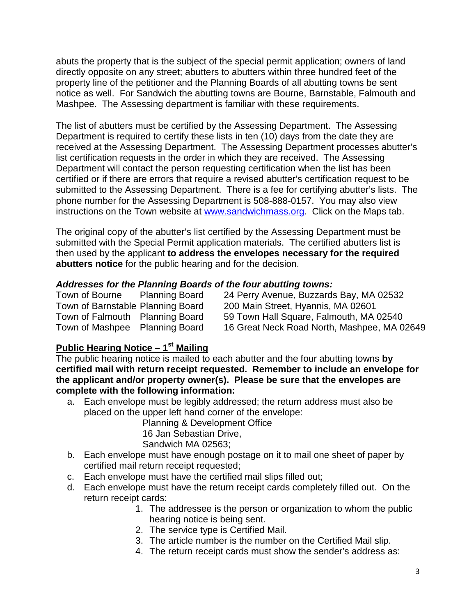abuts the property that is the subject of the special permit application; owners of land directly opposite on any street; abutters to abutters within three hundred feet of the property line of the petitioner and the Planning Boards of all abutting towns be sent notice as well. For Sandwich the abutting towns are Bourne, Barnstable, Falmouth and Mashpee. The Assessing department is familiar with these requirements.

The list of abutters must be certified by the Assessing Department. The Assessing Department is required to certify these lists in ten (10) days from the date they are received at the Assessing Department. The Assessing Department processes abutter's list certification requests in the order in which they are received. The Assessing Department will contact the person requesting certification when the list has been certified or if there are errors that require a revised abutter's certification request to be submitted to the Assessing Department. There is a fee for certifying abutter's lists. The phone number for the Assessing Department is 508-888-0157. You may also view instructions on the Town website at [www.sandwichmass.org.](http://www.sandwichmass.org/) Click on the Maps tab.

The original copy of the abutter's list certified by the Assessing Department must be submitted with the Special Permit application materials. The certified abutters list is then used by the applicant **to address the envelopes necessary for the required abutters notice** for the public hearing and for the decision.

#### *Addresses for the Planning Boards of the four abutting towns:*

| Town of Bourne | <b>Planning Board</b>             | 24 Perry Avenue, Buzzards Bay, MA 02532     |
|----------------|-----------------------------------|---------------------------------------------|
|                | Town of Barnstable Planning Board | 200 Main Street, Hyannis, MA 02601          |
|                | Town of Falmouth Planning Board   | 59 Town Hall Square, Falmouth, MA 02540     |
|                | Town of Mashpee Planning Board    | 16 Great Neck Road North, Mashpee, MA 02649 |

## **Public Hearing Notice – 1st Mailing**

The public hearing notice is mailed to each abutter and the four abutting towns **by certified mail with return receipt requested. Remember to include an envelope for the applicant and/or property owner(s). Please be sure that the envelopes are complete with the following information:**

a. Each envelope must be legibly addressed; the return address must also be placed on the upper left hand corner of the envelope:

Planning & Development Office 16 Jan Sebastian Drive, Sandwich MA 02563;

- b. Each envelope must have enough postage on it to mail one sheet of paper by certified mail return receipt requested;
- c. Each envelope must have the certified mail slips filled out;
- d. Each envelope must have the return receipt cards completely filled out. On the return receipt cards:
	- 1. The addressee is the person or organization to whom the public hearing notice is being sent.
	- 2. The service type is Certified Mail.
	- 3. The article number is the number on the Certified Mail slip.
	- 4. The return receipt cards must show the sender's address as: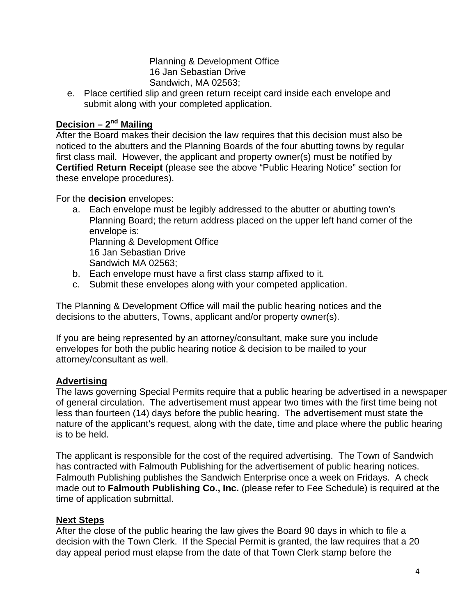Planning & Development Office 16 Jan Sebastian Drive Sandwich, MA 02563;

e. Place certified slip and green return receipt card inside each envelope and submit along with your completed application.

# **Decision – 2nd Mailing**

After the Board makes their decision the law requires that this decision must also be noticed to the abutters and the Planning Boards of the four abutting towns by regular first class mail. However, the applicant and property owner(s) must be notified by **Certified Return Receipt** (please see the above "Public Hearing Notice" section for these envelope procedures).

For the **decision** envelopes:

- a. Each envelope must be legibly addressed to the abutter or abutting town's Planning Board; the return address placed on the upper left hand corner of the envelope is: Planning & Development Office 16 Jan Sebastian Drive Sandwich MA 02563;
- b. Each envelope must have a first class stamp affixed to it.
- c. Submit these envelopes along with your competed application.

The Planning & Development Office will mail the public hearing notices and the decisions to the abutters, Towns, applicant and/or property owner(s).

If you are being represented by an attorney/consultant, make sure you include envelopes for both the public hearing notice & decision to be mailed to your attorney/consultant as well.

#### **Advertising**

The laws governing Special Permits require that a public hearing be advertised in a newspaper of general circulation. The advertisement must appear two times with the first time being not less than fourteen (14) days before the public hearing. The advertisement must state the nature of the applicant's request, along with the date, time and place where the public hearing is to be held.

The applicant is responsible for the cost of the required advertising. The Town of Sandwich has contracted with Falmouth Publishing for the advertisement of public hearing notices. Falmouth Publishing publishes the Sandwich Enterprise once a week on Fridays. A check made out to **Falmouth Publishing Co., Inc.** (please refer to Fee Schedule) is required at the time of application submittal.

#### **Next Steps**

After the close of the public hearing the law gives the Board 90 days in which to file a decision with the Town Clerk. If the Special Permit is granted, the law requires that a 20 day appeal period must elapse from the date of that Town Clerk stamp before the